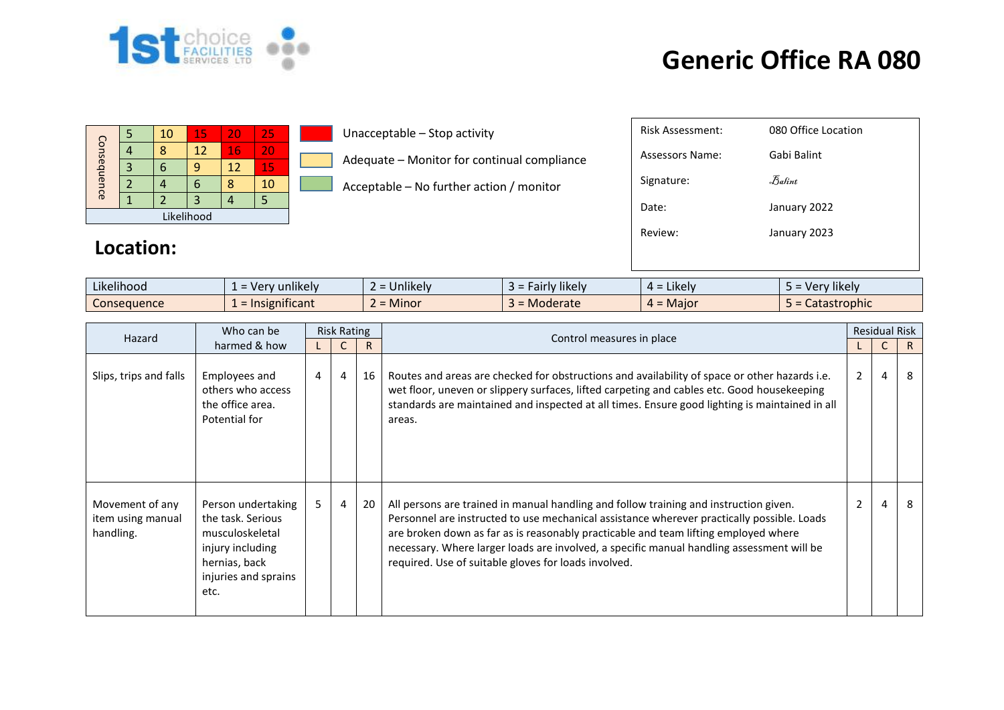

## **Generic Office RA 080**

|             | ь | 10 | 15 | 20                  | 25                         |             | Unacceptable - Stop activity                |                     | <b>Risk Assessment:</b> | 080 Office Location |
|-------------|---|----|----|---------------------|----------------------------|-------------|---------------------------------------------|---------------------|-------------------------|---------------------|
| Consequence | 4 | 8  | 12 | 16                  | 20                         |             | Adequate - Monitor for continual compliance |                     | <b>Assessors Name:</b>  | Gabi Balint         |
|             | 3 | 6  | 9  | 12                  | 15                         |             |                                             |                     |                         |                     |
|             |   | 4  | 6  | 8                   | 10                         |             | Acceptable - No further action / monitor    |                     | Signature:              | $\epsilon$ Balint   |
|             |   |    | 3  | 4                   | 5                          |             |                                             |                     | Date:                   | January 2022        |
| Likelihood  |   |    |    |                     |                            |             |                                             |                     |                         |                     |
|             |   |    |    |                     |                            |             |                                             |                     | Review:                 | January 2023        |
| Location:   |   |    |    |                     |                            |             |                                             |                     |                         |                     |
|             |   |    |    |                     |                            |             |                                             |                     |                         |                     |
| Likelihood  |   |    |    |                     | $1 = \text{Very}$ unlikely |             | $2 =$ Unlikely                              | $3 =$ Fairly likely | $4 =$ Likely            | 5 = Very likely     |
| Consequence |   |    |    | $1 =$ Insignificant |                            | $2 =$ Minor | $3 =$ Moderate                              | $4 =$ Major         | 5 = Catastrophic        |                     |

|                                                   | Who can be                                                                                                                      |   | <b>Risk Rating</b> |    |                                                                                                                                                                                                                                                                                                                                                                                                                                 |                | <b>Residual Risk</b> |              |
|---------------------------------------------------|---------------------------------------------------------------------------------------------------------------------------------|---|--------------------|----|---------------------------------------------------------------------------------------------------------------------------------------------------------------------------------------------------------------------------------------------------------------------------------------------------------------------------------------------------------------------------------------------------------------------------------|----------------|----------------------|--------------|
| Hazard                                            | harmed & how                                                                                                                    |   | $\mathsf{R}$       |    | Control measures in place                                                                                                                                                                                                                                                                                                                                                                                                       |                |                      | R.           |
| Slips, trips and falls                            | Employees and<br>others who access<br>the office area.<br>Potential for                                                         | 4 | 4                  | 16 | Routes and areas are checked for obstructions and availability of space or other hazards i.e.<br>wet floor, uneven or slippery surfaces, lifted carpeting and cables etc. Good housekeeping<br>standards are maintained and inspected at all times. Ensure good lighting is maintained in all<br>areas.                                                                                                                         | $2^{\circ}$    | 4                    | 8            |
| Movement of any<br>item using manual<br>handling. | Person undertaking<br>the task. Serious<br>musculoskeletal<br>injury including<br>hernias, back<br>injuries and sprains<br>etc. | 5 | $\overline{4}$     | 20 | All persons are trained in manual handling and follow training and instruction given.<br>Personnel are instructed to use mechanical assistance wherever practically possible. Loads<br>are broken down as far as is reasonably practicable and team lifting employed where<br>necessary. Where larger loads are involved, a specific manual handling assessment will be<br>required. Use of suitable gloves for loads involved. | $\overline{2}$ | $\overline{4}$       | $\mathsf{R}$ |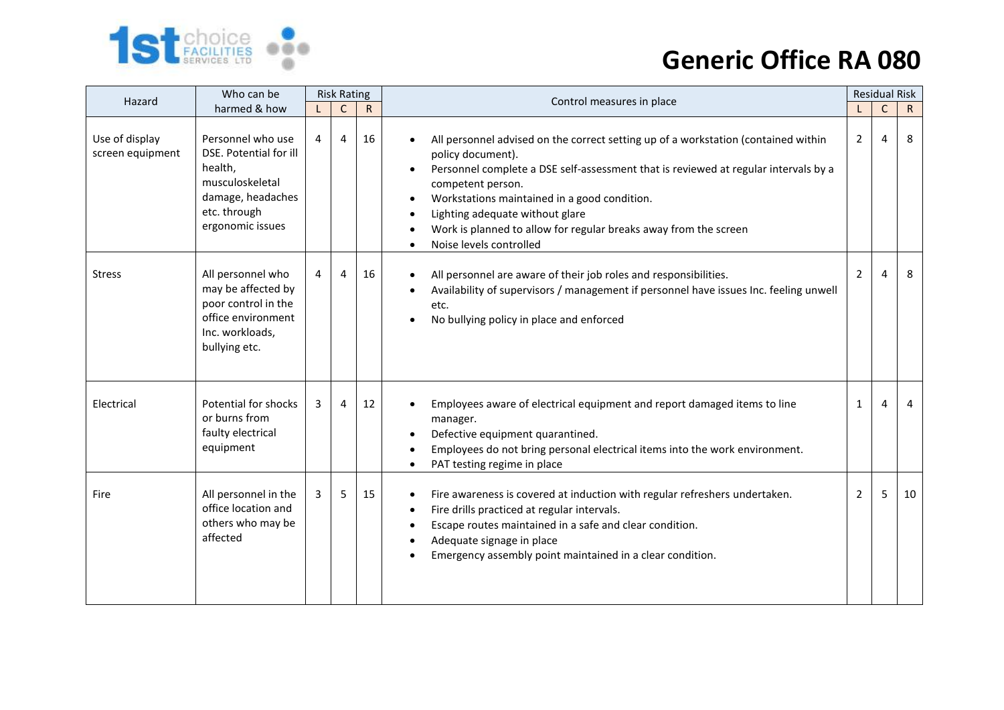

## **Generic Office RA 080**

| Hazard                             | Who can be                                                                                                                         |   | <b>Risk Rating</b> |              | Control measures in place                                                                                                                                                                                                                                                                                                                                                                             |                |              | <b>Residual Risk</b> |  |
|------------------------------------|------------------------------------------------------------------------------------------------------------------------------------|---|--------------------|--------------|-------------------------------------------------------------------------------------------------------------------------------------------------------------------------------------------------------------------------------------------------------------------------------------------------------------------------------------------------------------------------------------------------------|----------------|--------------|----------------------|--|
|                                    | harmed & how                                                                                                                       |   | $\mathsf C$        | $\mathsf{R}$ |                                                                                                                                                                                                                                                                                                                                                                                                       |                | $\mathsf{C}$ | $\mathsf{R}$         |  |
| Use of display<br>screen equipment | Personnel who use<br>DSE. Potential for ill<br>health,<br>musculoskeletal<br>damage, headaches<br>etc. through<br>ergonomic issues | 4 | 4                  | 16           | All personnel advised on the correct setting up of a workstation (contained within<br>policy document).<br>Personnel complete a DSE self-assessment that is reviewed at regular intervals by a<br>competent person.<br>Workstations maintained in a good condition.<br>Lighting adequate without glare<br>Work is planned to allow for regular breaks away from the screen<br>Noise levels controlled | $\overline{2}$ | 4            | 8                    |  |
| <b>Stress</b>                      | All personnel who<br>may be affected by<br>poor control in the<br>office environment<br>Inc. workloads,<br>bullying etc.           | 4 | 4                  | 16           | All personnel are aware of their job roles and responsibilities.<br>Availability of supervisors / management if personnel have issues Inc. feeling unwell<br>etc.<br>No bullying policy in place and enforced                                                                                                                                                                                         | $\overline{2}$ | 4            | 8                    |  |
| Electrical                         | Potential for shocks<br>or burns from<br>faulty electrical<br>equipment                                                            | 3 | 4                  | 12           | Employees aware of electrical equipment and report damaged items to line<br>manager.<br>Defective equipment quarantined.<br>Employees do not bring personal electrical items into the work environment.<br>PAT testing regime in place                                                                                                                                                                | $\mathbf{1}$   | 4            | 4                    |  |
| Fire                               | All personnel in the<br>office location and<br>others who may be<br>affected                                                       | 3 | 5                  | 15           | Fire awareness is covered at induction with regular refreshers undertaken.<br>$\bullet$<br>Fire drills practiced at regular intervals.<br>Escape routes maintained in a safe and clear condition.<br>$\bullet$<br>Adequate signage in place<br>Emergency assembly point maintained in a clear condition.                                                                                              | 2              | 5            | 10                   |  |